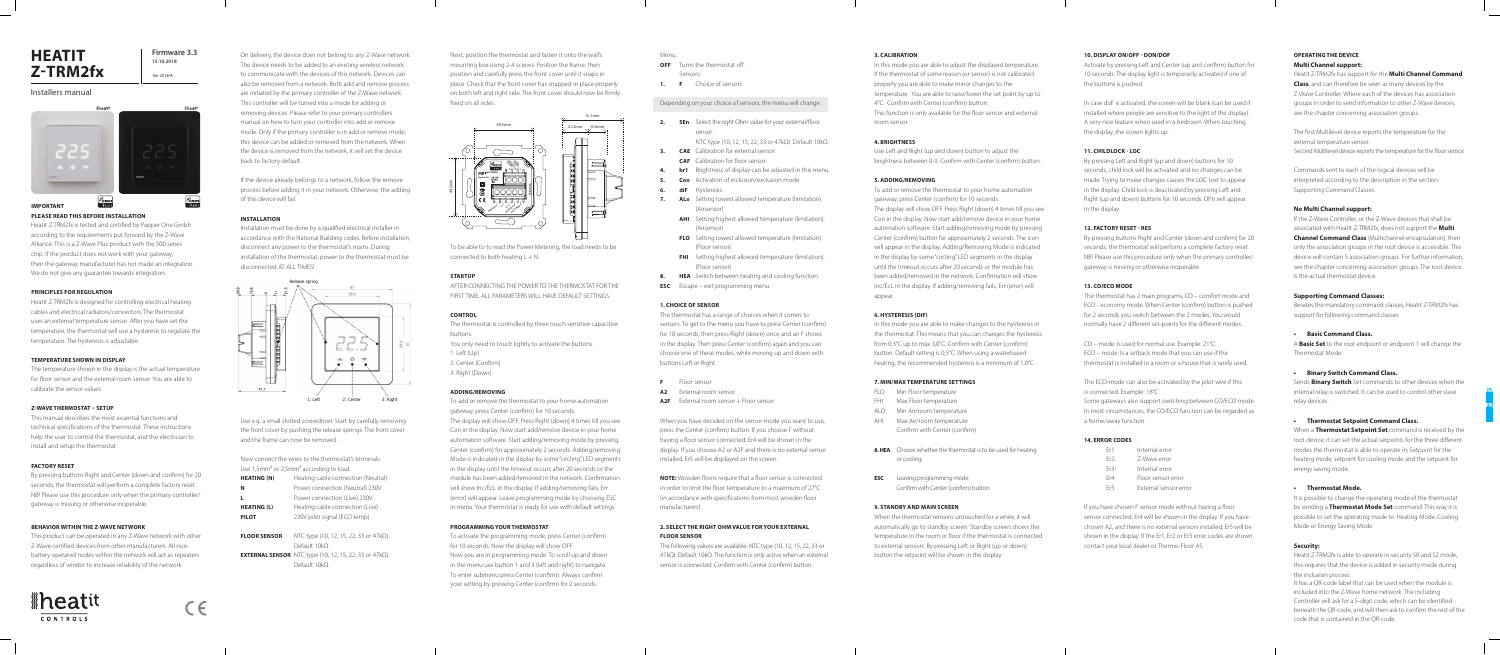### **IMPORTANT**

#### **PLEASE READ THIS BEFORE INSTALLATION**

Heatit Z-TRM2fx is tested and certified by Pepper One Gmbh according to the requirements put forward by the Z-Wave Alliance. This is a Z-Wave Plus product with the 500 series chip. If the product does not work with your gateway, then the gateway manufacturer has not made an integration. We do not give any guarantee towards integration.

#### **PRINCIPLES FOR REGULATION**

Heatit Z-TRM2fx is designed for controlling electrical heating cables and electrical radiators/convectors. The thermostat uses an external temperature sensor. After you have set the temperature, the thermostat will use a hysteresis to regulate the temperature. The hysteresis is adjustable.

#### **TEMPERATURE SHOWN IN DISPLAY**

The temperature shown in the display is the actual temperature for floor sensor and the external room sensor. You are able to calibrate the sensor values.

#### **Z-WAVE THERMOSTAT – SETUP**

This manual describes the most essential functions and technical specifications of the thermostat. These instructions help the user to control the thermostat, and the electrician to install and setup the thermostat.

#### **FACTORY RESET**

By pressing buttons Right and Center (down and confirm) for 20 seconds, the thermostat will perform a complete factory reset. NB! Please use this procedure only when the primary controller/ gateway is missing or otherwise inoperable.

#### **BEHAVIOR WITHIN THE Z-WAVE NETWORK**

Now connect the wires to the thermostat's terminals: Use 1,5mm<sup>2</sup> or 2,5mm<sup>2</sup> according to load.

This product can be operated in any Z-Wave network with other Z-Wave certified devices from other manufacturers. All nonbattery operated nodes within the network will act as repeaters regardless of vendor to increase reliability of the network.

# *<u>Aheatit</u>* CONTROLS



To be able to to read the Power Metering, the load needs to be connected to both heating  $L + N$ .

On delivery, the device does not belong to any Z-Wave network. The device needs to be added to an existing wireless network to communicate with the devices of this network. Devices can also be removed from a network. Both add and remove process are initiated by the primary controller of the Z-Wave network. This controller will be turned into a mode for adding or removing devices. Please refer to your primary controllers manual on how to turn your controller into add or remove mode. Only if the primary controller is in add or remove mode, this device can be added or removed from the network. When the device is removed from the network, it will set the device back to factory default.

If the device already belongs to a network, follow the remove process before adding it in your network. Otherwise, the adding of this device will fail.

#### **INSTALLATION**

Installation must be done by a qualified electrical installer in accordance with the National Building codes. Before installation, disconnect any power to the thermostat's mains. During installation of the thermostat, power to the thermostat must be disconnected AT ALL TIMES!

**2.** SEn Select the right Ohm value for your external/floor sensor.

Use e.g. a small slotted screwdriver. Start by carefully removing the front cover by pushing the release springs. The front cover and the frame can now be removed.

| <b>HEATING (N)</b>  | Heating cable connection (Neutral)             |
|---------------------|------------------------------------------------|
| N                   | Power connection (Neutral) 230V                |
| L                   | Power connection (Live) 230V                   |
| <b>HEATING (L)</b>  | Heating cable connection (Live)                |
| <b>PILOT</b>        | 230V pilot signal (ECO temp)                   |
|                     |                                                |
| <b>FLOOR SENSOR</b> | NTC type (10, 12, 15, 22, 33 or $47k\Omega$ ). |
|                     |                                                |

- **F** Floor sensor
- **A2** External room sensor
- A2F External room sensor + Floor sensor

| Default 10kO.                                                          |
|------------------------------------------------------------------------|
| <b>EXTERNAL SENSOR</b> NTC type (10, 12, 15, 22, 33 or 47k $\Omega$ ). |
| Default 10kO.                                                          |

# **HEATIT Z-TRM2fx**



#### Installers manual





Ver 2018-A

Next, position the thermostat and fasten it onto the wall's mounting box using 2-4 screws. Position the frame, then position and carefully press the front cover until it snaps in place. Check that the front cover has snapped in place properly on both left and right side. The front cover should now be firmly fixed on all sides.

#### **STARTUP**

In this mode you are able to adjust the displayed temperature. If the thermostat of some reason (or sensor) is not calibrated properly you are able to make minor changes to the temperature. You are able to raise/lower the set point by up to 4°C. Confirm with Center (confirm) button. This function is only available for the floor sensor and external room sensor.

| AFTER CONNECTING THE POWER TO THE THERMOSTAT FOR THE             |
|------------------------------------------------------------------|
| FIRST TIME, ALL PARAMETERS WILL HAVE DEFAULT SETTINGS.           |
|                                                                  |
|                                                                  |
| <b>CONTROL</b>                                                   |
| The thermostat is controlled by three touch sensitive capacitive |
| buttons.                                                         |
| You only need to touch lightly to activate the buttons.          |
| 1: Left $(Up)$                                                   |
| 2: Center (Confirm)                                              |
| 3: Right (Down)                                                  |
|                                                                  |
|                                                                  |

#### **ADDING/REMOVING**

To add or remove the thermostat to your home automation gateway, press Center (confirm) for 10 seconds.

In this mode you are able to make changes to the hysteresis in the thermostat. This means that you can changes the hysteresis from 0,3°C up to max 3,0°C. Confirm with Center (confirm) button. Default setting is 0,5°C. When using a waterbased heating, the recommended hysteresis is a minimum of 1,0°C.

The display will show OFF. Press Right (down) 4 times till you see Con in the display. Now start add/remove device in your home automation software. Start adding/removing mode by pressing Center (confirm) for approximately 2 seconds. Adding/removing Mode is indicated in the display by some "circling" LED segments in the display until the timeout occurs after 20 seconds or the module has been added/removed in the network. Confirmation will show Inc/EcL in the display. If adding/removing fails, Err (error) will appear. Leave programming mode by choosing ESC in menu. Your thermostat is ready for use with default settings.

#### **PROGRAMMING YOUR THERMOSTAT**

In case doF is activated, the screen will be blank (can be used if installed where people are sensitive to the light of the display). A very nice feature when used in a bedroom. When touching the display, the screen lights up.

To activate the programming mode, press Center (confirm) for 10 seconds. Now the display will show OFF. Now you are in programming mode. To scroll up and down in the menu use button 1 and 3 (left and right) to navigate. To enter submenu press Center (confirm). Always confirm your setting by pressing Center (confirm) for 2 seconds.





#### Menu:

**OFF** Turns the thermostat off.

- Sensors:
- **1. F** Choice of sensors

Depending on your choice of sensors, the menu will change.

NTC type (10, 12, 15, 22, 33 or 47kΩ). Default 10kΩ.

- **3. CAE** Calibration for external sensor.
	- **CAF** Calibration for floor sensor.
- **4. br1** Brightness of display can be adjusted in this menu.
- **5. Con** Activation of inclusion/exclusion mode.
- **6. diF** Hysteresis.
- **7. ALo** Setting lowest allowed temperature (limitation). (Airsensor)
	- **AHI** Setting highest allowed temperature (limitation). (Airsensor)
	- **FLO** Setting lowest allowed temperature (limitation). (Floor sensor)
	- **FHI** Setting highest allowed temperature (limitation). (Floor sensor)
- **8. HEA** Switch between heating and cooling function.
- **ESC** Escape exit programming menu.

#### **1. CHOICE OF SENSOR**

The thermostat has a range of choices when it comes to sensors. To get to the menu you have to press Center (confirm) for 10 seconds, then press Right (down) once and an F shows in the display. Then press Center (confirm) again and you can choose one of these modes, while moving up and down with buttons Left or Right.

When you have decided on the sensor mode you want to use, press the Center (confirm) button. If you choose F without having a floor sensor connected, Er4 will be shown in the display. If you choose A2 or A2F and there is no external sensor installed, Er5 will be displayed on the screen.

> It is possible to change the operating mode of the thermostat by sending a **Thermostat Mode Set** command. This way it is possible to set the operating mode to: Heating Mode, Cooling Mode or Energy Saving Mode.

**NOTE:** Wooden floors require that a floor sensor is connected in order to limit the floor temperature to a maximum of 27°C (in accordance with specifications from most wooden floor manufacturers).

#### **2. SELECT THE RIGHT OHM VALUE FOR YOUR EXTERNAL FLOOR SENSOR**

The following values are available: NTC type (10, 12, 15, 22, 33 or 47kΩ). Default 10kΩ. The function is only active when an external sensor is connected. Confirm with Center (confirm) button.

#### **3. CALIBRATION**

#### **4. BRIGHTNESS**

Use Left and Right (up and down) button to adjust the brightness between 0-9. Confirm with Center (confirm) button.

#### **5. ADDING/REMOVING**

To add or remove the thermostat to your home automation gateway, press Center (confirm) for 10 seconds. The display will show OFF. Press Right (down) 4 times till you see Con in the display. Now start add/remove device in your home automation software. Start adding/removing mode by pressing Center (confirm) button for approximately 2 seconds. The icon will appear in the display. Adding/Removing Mode is indicated in the display by some "circling" LED segments in the display until the timeout occurs after 20 seconds or the module has been added/removed in the network. Confirmation will show Inc/EcL in the display. If adding/removing fails, Err (error) will appear.

#### **6. HYSTERESIS (DIF)**

#### **7. MIN/MAX TEMPERATURE SETTINGS**

- FLO Min Floor temperature
- FHI Max Floor temperature
- ALO Min Air/room temperature
- AHI Max Air/room temperature Confirm with Center (confirm)
- **8. HEA** Choose whether the thermostat is to be used for heating or cooling.
- **ESC** Leaving programming mode. Confirm with Center (confirm) button.

#### **9. STANDBY AND MAIN SCREEN**

When the thermostat remains untouched for a while, it will automatically go to standby screen. Standby screen shows the temperature in the room or floor if the thermostat is connected to external sensors. By pressing Left or Right (up or down) button the setpoint will be shown in the display.

#### **10. DISPLAY ON/OFF - DON/DOF**

Activate by pressing Left and Center (up and confirm) button for 10 seconds. The display light is temporarily activated if one of the buttons is pushed.

#### **11. CHILDLOCK - LOC**

By pressing Left and Right (up and down) buttons for 10 seconds, child lock will be activated and no changes can be made. Trying to make changes causes the LOC text to appear in the display. Child lock is deactivated by pressing Left and Right (up and down) buttons for 10 seconds. OPn will appear in the display.

#### **12. FACTORY RESET - RES**

By pressing buttons Right and Center (down and confirm) for 20 seconds, the thermostat will perform a complete factory reset. NB! Please use this procedure only when the primary controller/ gateway is missing or otherwise inoperable.

#### **13. CO/ECO MODE**

The thermostat has 2 main programs, CO – comfort mode and ECO - economy mode. When Center (confirm) button is pushed for 2 seconds you switch between the 2 modes. You would normally have 2 different set-points for the different modes.

CO – mode: Is used for normal use. Example: 21°C. ECO – mode: Is a setback mode that you can use if the thermostat is installed in a room or a house that is rarely used.

The ECO-mode can also be activated by the pilot wire if this is connected. Example: 18°C.

Some gateways also support switching between CO/ECO mode. In most circumstances, the CO/ECO function can be regarded as a home/away function.

#### **14. ERROR CODES**

| $Fr1$ . | Internal error |
|---------|----------------|
| Fr2:    | Z-Wave error   |

- Er3: Internal error
- Er4: Floor sensor error
- Er5: External sensor error

If you have chosen F sensor mode without having a floor sensor connected, Er4 will be shown in the display. If you have chosen A2, and there is no external sensors installed, Er5 will be shown in the display. If the Er1, Er2 or Er3 error codes are shown, contact your local dealer or Thermo-Floor AS.

## **OPERATING THE DEVICE**

### **Multi Channel support:**

Heatit Z-TRM2fx has support for the **Multi Channel Command Class**, and can therefore be seen as many devices by the Z-Wave Controller. Where each of the devices has association groups in order to send information to other Z-Wave devices, see the chapter concerning association groups.

The first Multilevel device reports the temperature for the external temperature sensor. Second Multilevel device reports the temperature for the floor sensor.

Commands sent to each of the logical devices will be interpreted according to the description in the section: Supporting Command Classes.

#### **No Multi Channel support:**

If the Z-Wave Controller, or the Z-Wave devices that shall be associated with Heatit Z-TRM2fx, does not support the **Multi Channel Command Class** (Multichannel encapsulation), then only the association groups in the root device is accessible. This device will contain 5 association groups. For further information, see the chapter concerning association groups. The root device is the actual thermostat device.

#### **Supporting Command Classes:**

Besides the mandatory command classes, Heatit Z-TRM2fx has support for following command classes:

#### **• Basic Command Class.**

A **Basic Set** to the root endpoint or endpoint 1 will change the

Thermostat Mode.

# **• Binary Switch Command Class.** relay devices.

Sends **Binary Switch** Set commands to other devices when the internal relay is switched. It can be used to control other slave

**• Thermostat Setpoint Command Class.** When a **Thermostat Setpoint Set** command is received by the root device, it can set the actual setpoints for the three different modes the thermostat is able to operate in; Setpoint for the heating mode, setpoint for cooling mode and the setpoint for energy saving mode.

#### **• Thermostat Mode.**

#### **Security:**

Heatit Z-TRM2fx is able to operate in security S0 and S2 mode,

## HA<sub>r</sub> FP,

this requires that the device is added in security mode during the inclusion process. It has a QR-code label that can be used when the module is included into the Z-Wave home network. The including Controller will ask for a 5-digit code, which can be identified beneath the QR-code, and will then ask to confirm the rest of the code that is contained in the QR-code.